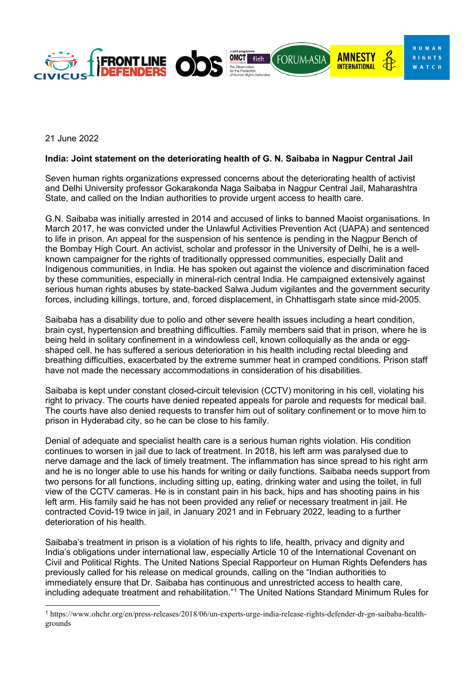

21 June 2022

## **India: Joint statement on the deteriorating health of G. N. Saibaba in Nagpur Central Jail**

Seven human rights organizations expressed concerns about the deteriorating health of activist and Delhi University professor [Gokarakonda Naga Saibaba](https://www.ohchr.org/en/press-releases/2018/06/un-experts-urge-india-release-rights-defender-dr-gn-saibaba-health-grounds?LangID=E&NewsID=23284) in Nagpur Central Jail, Maharashtra State, and called on the Indian authorities to provide urgent access to health care.

G.N. Saibaba was initially arrested in 2014 and accused of links to banned Maoist organisations. In March 2017, he was convicted under the Unlawful Activities Prevention Act (UAPA) and sentenced to life in prison. An appeal for the suspension of his sentence is pending in the Nagpur Bench of the Bombay High Court. An activist, scholar and professor in the University of Delhi, he is a wellknown campaigner for the rights of traditionally oppressed communities, especially Dalit and Indigenous communities, in India. He has spoken out against the violence and discrimination faced by these communities, especially in mineral-rich central India. He campaigned extensively against serious human rights abuses by state-backed Salwa Judum vigilantes and the government security forces, including killings, torture, and, forced displacement, in Chhattisgarh state since mid-2005.

Saibaba has a disability due to polio and other severe health issues including a heart condition, brain cyst, hypertension and breathing difficulties. Family members said that in prison, where he is being held in solitary confinement in a windowless cell, known colloquially as the anda or eggshaped cell, he has suffered a serious deterioration in his health including rectal bleeding and breathing difficulties, exacerbated by the extreme summer heat in cramped conditions. Prison staff have not made the necessary accommodations in consideration of his disabilities.

Saibaba is kept under constant closed-circuit television (CCTV) monitoring in his cell, violating his right to privacy. The courts have denied repeated appeals for parole and requests for medical bail. The courts have also denied requests to transfer him out of solitary confinement or to move him to prison in Hyderabad city, so he can be close to his family.

Denial of adequate and specialist health care is a serious human rights violation. His condition continues to worsen in jail due to lack of treatment. In 2018, his left arm was paralysed due to nerve damage and the lack of timely treatment. The inflammation has since spread to his right arm and he is no longer able to use his hands for writing or daily functions. Saibaba needs support from two persons for all functions, including sitting up, eating, drinking water and using the toilet, in full view of the CCTV cameras. He is in constant pain in his back, hips and has shooting pains in his left arm. His family said he has not been provided any relief or necessary treatment in jail. He contracted Covid-19 twice in jail, in January 2021 and in February 2022, leading to a further deterioration of his health.

Saibaba's treatment in prison is a violation of his rights to life, health, privacy and dignity and India's obligations under international law, especially Article 10 of the International Covenant on Civil and Political Rights. The United Nations Special Rapporteur on Human Rights Defenders has previously [called](https://www.ohchr.org/en/press-releases/2018/06/un-experts-urge-india-release-rights-defender-dr-gn-saibaba-health-grounds) for his release on medical grounds, [calling](https://www.ohchr.org/en/press-releases/2018/06/un-experts-urge-india-release-rights-defender-dr-gn-saibaba-health-grounds) on the "Indian authorities to immediately ensure that Dr. Saibaba has continuous and unrestricted access to health care, including adequate treatment and rehabilitation."[1](#page-0-0) The United Nations Standard Minimum Rules for

<span id="page-0-0"></span><sup>1</sup> https://www.ohchr.org/en/press-releases/2018/06/un-experts-urge-india-release-rights-defender-dr-gn-saibaba-healthgrounds